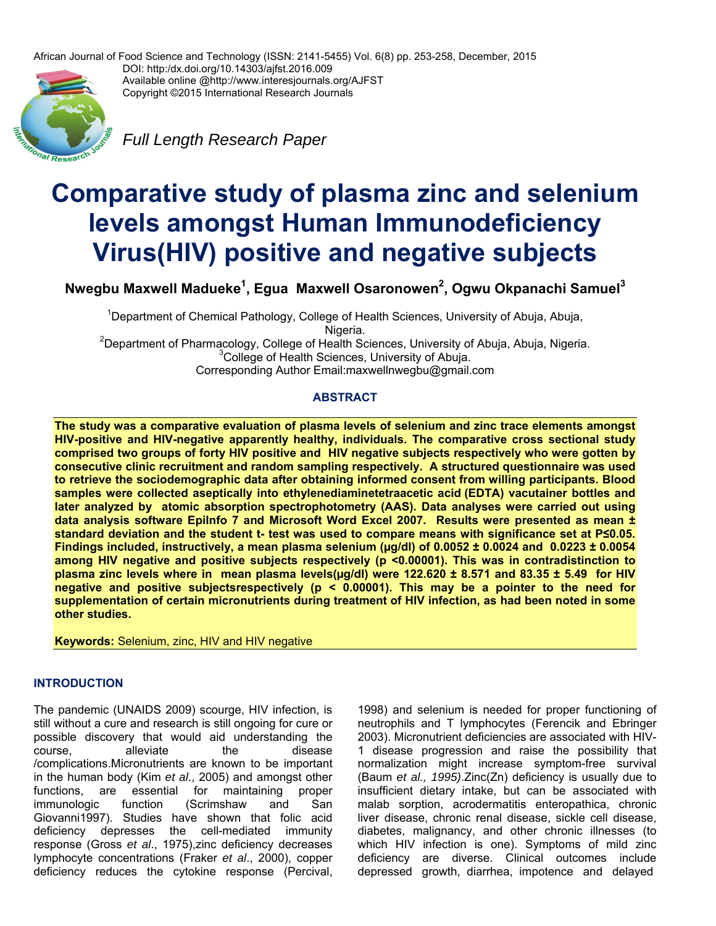African Journal of Food Science and Technology (ISSN: 2141-5455) Vol. 6(8) pp. 253-258, December, 2015

onal Research

DOI: http:/dx.doi.org/10.14303/ajfst.2016.009 Available online @http://www.interesjournals.org/AJFST Copyright ©2015 International Research Journals

*Full Length Research Paper* 

# **Comparative study of plasma zinc and selenium levels amongst Human Immunodeficiency Virus(HIV) positive and negative subjects**

**Nwegbu Maxwell Madueke1 , Egua Maxwell Osaronowen2 , Ogwu Okpanachi Samuel3**

<sup>1</sup>Department of Chemical Pathology, College of Health Sciences, University of Abuja, Abuja, Nigeria.<br><sup>2</sup>Department of Pharmacelogy, College of Heelth Sa

Department of Pharmacology, College of Health Sciences, University of Abuja, Abuja, Nigeria.<br>3College of Health Sciences, University of Abuja. <sup>3</sup>College of Health Sciences, University of Abuja. Corresponding Author Email:maxwellnwegbu@gmail.com

# **ABSTRACT**

**The study was a comparative evaluation of plasma levels of selenium and zinc trace elements amongst HIV-positive and HIV-negative apparently healthy, individuals. The comparative cross sectional study comprised two groups of forty HIV positive and HIV negative subjects respectively who were gotten by consecutive clinic recruitment and random sampling respectively. A structured questionnaire was used to retrieve the sociodemographic data after obtaining informed consent from willing participants. Blood samples were collected aseptically into ethylenediaminetetraacetic acid (EDTA) vacutainer bottles and later analyzed by atomic absorption spectrophotometry (AAS). Data analyses were carried out using**  data analysis software Epilnfo 7 and Microsoft Word Excel 2007. Results were presented as mean ± **standard deviation and the student t- test was used to compare means with significance set at P≤0.05. Findings included, instructively, a mean plasma selenium (µg/dl) of 0.0052 ± 0.0024 and 0.0223 ± 0.0054 among HIV negative and positive subjects respectively (p <0.00001). This was in contradistinction to plasma zinc levels where in mean plasma levels(µg/dl) were 122.620 ± 8.571 and 83.35 ± 5.49 for HIV negative and positive subjectsrespectively (p < 0.00001). This may be a pointer to the need for supplementation of certain micronutrients during treatment of HIV infection, as had been noted in some other studies.** 

**Keywords:** Selenium, zinc, HIV and HIV negative

# **INTRODUCTION**

The pandemic (UNAIDS 2009) scourge, HIV infection, is still without a cure and research is still ongoing for cure or possible discovery that would aid understanding the course. **alleviate** the disease /complications.Micronutrients are known to be important in the human body (Kim *et al*., 2005) and amongst other functions, are essential for maintaining proper immunologic function (Scrimshaw and San Giovanni1997). Studies have shown that folic acid deficiency depresses the cell-mediated immunity response (Gross *et al*., 1975),zinc deficiency decreases lymphocyte concentrations (Fraker *et al*., 2000), copper deficiency reduces the cytokine response (Percival,

1998) and selenium is needed for proper functioning of neutrophils and T lymphocytes (Ferencik and Ebringer 2003). Micronutrient deficiencies are associated with HIV-1 disease progression and raise the possibility that normalization might increase symptom-free survival (Baum *et al., 1995)*.Zinc(Zn) deficiency is usually due to insufficient dietary intake, but can be associated with malab sorption, acrodermatitis enteropathica, chronic liver disease, chronic renal disease, sickle cell disease, diabetes, malignancy, and other chronic illnesses (to which HIV infection is one). Symptoms of mild zinc deficiency are diverse. Clinical outcomes include depressed growth, diarrhea, impotence and delayed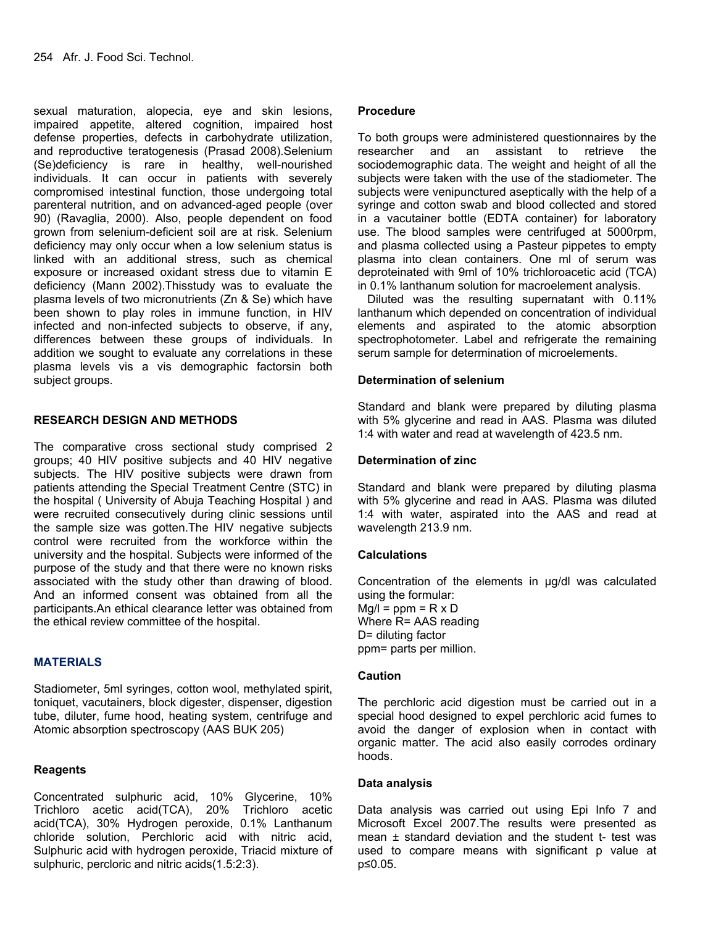sexual maturation, alopecia, eye and skin lesions, impaired appetite, altered cognition, impaired host defense properties, defects in carbohydrate utilization, and reproductive teratogenesis (Prasad 2008).Selenium (Se)deficiency is rare in healthy, well-nourished individuals. It can occur in patients with severely compromised intestinal function, those undergoing total parenteral nutrition, and on advanced-aged people (over 90) (Ravaglia, 2000). Also, people dependent on food grown from selenium-deficient soil are at risk. Selenium deficiency may only occur when a low selenium status is linked with an additional stress, such as chemical exposure or increased oxidant stress due to vitamin E deficiency (Mann 2002).Thisstudy was to evaluate the plasma levels of two micronutrients (Zn & Se) which have been shown to play roles in immune function, in HIV infected and non-infected subjects to observe, if any, differences between these groups of individuals. In addition we sought to evaluate any correlations in these plasma levels vis a vis demographic factorsin both subject groups.

## **RESEARCH DESIGN AND METHODS**

The comparative cross sectional study comprised 2 groups; 40 HIV positive subjects and 40 HIV negative subjects. The HIV positive subjects were drawn from patients attending the Special Treatment Centre (STC) in the hospital ( University of Abuja Teaching Hospital ) and were recruited consecutively during clinic sessions until the sample size was gotten.The HIV negative subjects control were recruited from the workforce within the university and the hospital. Subjects were informed of the purpose of the study and that there were no known risks associated with the study other than drawing of blood. And an informed consent was obtained from all the participants.An ethical clearance letter was obtained from the ethical review committee of the hospital.

# **MATERIALS**

Stadiometer, 5ml syringes, cotton wool, methylated spirit, toniquet, vacutainers, block digester, dispenser, digestion tube, diluter, fume hood, heating system, centrifuge and Atomic absorption spectroscopy (AAS BUK 205)

# **Reagents**

Concentrated sulphuric acid, 10% Glycerine, 10% Trichloro acetic acid(TCA), 20% Trichloro acetic acid(TCA), 30% Hydrogen peroxide, 0.1% Lanthanum chloride solution, Perchloric acid with nitric acid, Sulphuric acid with hydrogen peroxide, Triacid mixture of sulphuric, percloric and nitric acids(1.5:2:3).

#### **Procedure**

To both groups were administered questionnaires by the researcher and an assistant to retrieve the sociodemographic data. The weight and height of all the subjects were taken with the use of the stadiometer. The subjects were venipunctured aseptically with the help of a syringe and cotton swab and blood collected and stored in a vacutainer bottle (EDTA container) for laboratory use. The blood samples were centrifuged at 5000rpm, and plasma collected using a Pasteur pippetes to empty plasma into clean containers. One ml of serum was deproteinated with 9ml of 10% trichloroacetic acid (TCA) in 0.1% lanthanum solution for macroelement analysis.

 Diluted was the resulting supernatant with 0.11% lanthanum which depended on concentration of individual elements and aspirated to the atomic absorption spectrophotometer. Label and refrigerate the remaining serum sample for determination of microelements.

## **Determination of selenium**

Standard and blank were prepared by diluting plasma with 5% glycerine and read in AAS. Plasma was diluted 1:4 with water and read at wavelength of 423.5 nm.

## **Determination of zinc**

Standard and blank were prepared by diluting plasma with 5% glycerine and read in AAS. Plasma was diluted 1:4 with water, aspirated into the AAS and read at wavelength 213.9 nm.

#### **Calculations**

Concentration of the elements in µg/dl was calculated using the formular:  $Mg/l = ppm = R \times D$ Where R= AAS reading D= diluting factor ppm= parts per million.

## **Caution**

The perchloric acid digestion must be carried out in a special hood designed to expel perchloric acid fumes to avoid the danger of explosion when in contact with organic matter. The acid also easily corrodes ordinary hoods.

#### **Data analysis**

Data analysis was carried out using Epi Info 7 and Microsoft Excel 2007.The results were presented as mean  $\pm$  standard deviation and the student t- test was used to compare means with significant p value at p≤0.05.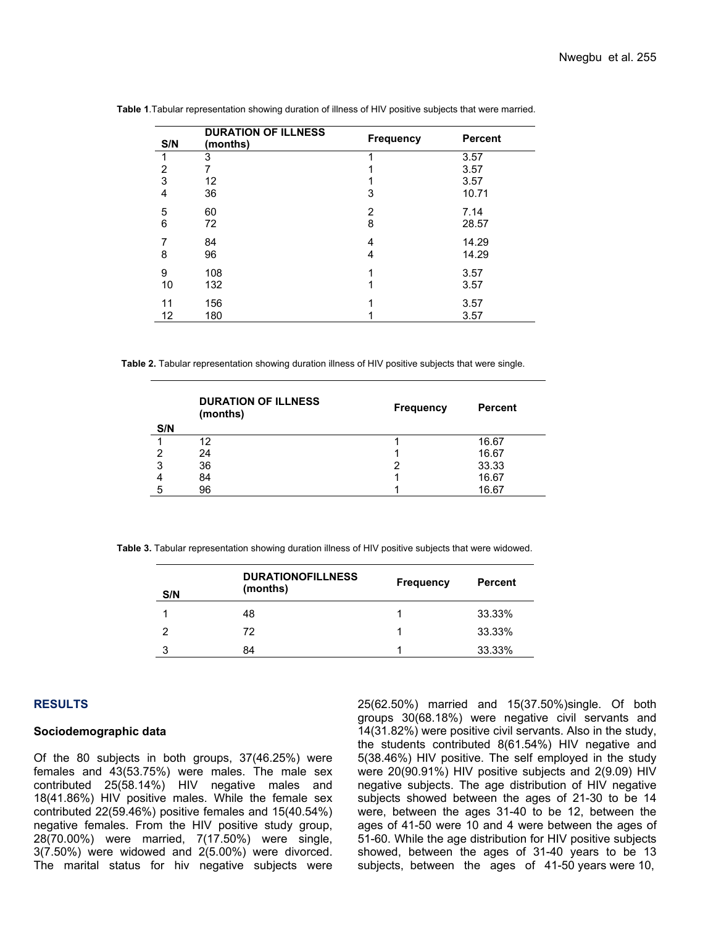| S/N | <b>DURATION OF ILLNESS</b><br>(months) | <b>Frequency</b> | <b>Percent</b> |
|-----|----------------------------------------|------------------|----------------|
| 1   | 3                                      |                  | 3.57           |
| 2   |                                        |                  | 3.57           |
| 3   | $12 \overline{ }$                      |                  | 3.57           |
| 4   | 36                                     | 3                | 10.71          |
| 5   | 60                                     | $\overline{2}$   | 7.14           |
| 6   | 72                                     | 8                | 28.57          |
| 7   | 84                                     | 4                | 14.29          |
| 8   | 96                                     | 4                | 14.29          |
| 9   | 108                                    |                  | 3.57           |
| 10  | 132                                    |                  | 3.57           |
| 11  | 156                                    |                  | 3.57           |
| 12  | 180                                    |                  | 3.57           |

 **Table 1**.Tabular representation showing duration of illness of HIV positive subjects that were married.

 **Table 2.** Tabular representation showing duration illness of HIV positive subjects that were single.

| S/N | <b>DURATION OF ILLNESS</b><br>(months) | <b>Frequency</b> | <b>Percent</b> |
|-----|----------------------------------------|------------------|----------------|
|     | 12                                     |                  | 16.67          |
| 2   | 24                                     |                  | 16.67          |
| 3   | 36                                     |                  | 33.33          |
|     | 84                                     |                  | 16.67          |
| 5   | 96                                     |                  | 16.67          |

 **Table 3.** Tabular representation showing duration illness of HIV positive subjects that were widowed.

| S/N | <b>DURATIONOFILLNESS</b><br>(months) | <b>Frequency</b> | <b>Percent</b> |
|-----|--------------------------------------|------------------|----------------|
|     | 48                                   |                  | 33.33%         |
| 2   | 72                                   |                  | 33.33%         |
| ີ   | 84                                   |                  | 33.33%         |

#### **RESULTS**

## **Sociodemographic data**

Of the 80 subjects in both groups, 37(46.25%) were females and 43(53.75%) were males. The male sex contributed 25(58.14%) HIV negative males and 18(41.86%) HIV positive males. While the female sex contributed 22(59.46%) positive females and 15(40.54%) negative females. From the HIV positive study group, 28(70.00%) were married, 7(17.50%) were single, 3(7.50%) were widowed and 2(5.00%) were divorced. The marital status for hiv negative subjects were

25(62.50%) married and 15(37.50%)single. Of both groups 30(68.18%) were negative civil servants and 14(31.82%) were positive civil servants. Also in the study, the students contributed 8(61.54%) HIV negative and 5(38.46%) HIV positive. The self employed in the study were 20(90.91%) HIV positive subjects and 2(9.09) HIV negative subjects. The age distribution of HIV negative subjects showed between the ages of 21-30 to be 14 were, between the ages 31-40 to be 12, between the ages of 41-50 were 10 and 4 were between the ages of 51-60. While the age distribution for HIV positive subjects showed, between the ages of 31-40 years to be 13 subjects, between the ages of 41-50 years were 10,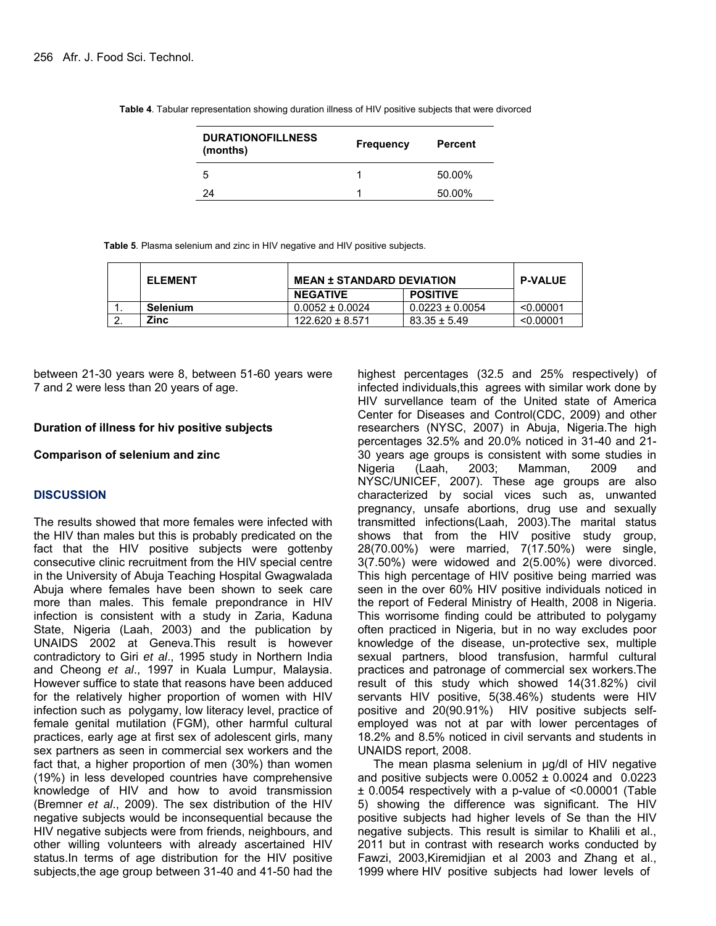| <b>DURATIONOFILLNESS</b><br>(months) | <b>Frequency</b> | <b>Percent</b> |
|--------------------------------------|------------------|----------------|
| -5                                   |                  | 50.00%         |
| -24                                  |                  | 50.00%         |

 **Table 4**. Tabular representation showing duration illness of HIV positive subjects that were divorced

 **Table 5**. Plasma selenium and zinc in HIV negative and HIV positive subjects.

| <b>ELEMENT</b> | <b>MEAN ± STANDARD DEVIATION</b> |                     | <b>P-VALUE</b> |
|----------------|----------------------------------|---------------------|----------------|
|                | <b>NEGATIVE</b>                  | <b>POSITIVE</b>     |                |
| Selenium       | $0.0052 \pm 0.0024$              | $0.0223 \pm 0.0054$ | < 0.00001      |
| Zinc           | $122.620 \pm 8.571$              | $83.35 \pm 5.49$    | < 0.00001      |

between 21-30 years were 8, between 51-60 years were 7 and 2 were less than 20 years of age.

#### **Duration of illness for hiv positive subjects**

#### **Comparison of selenium and zinc**

## **DISCUSSION**

The results showed that more females were infected with the HIV than males but this is probably predicated on the fact that the HIV positive subjects were gottenby consecutive clinic recruitment from the HIV special centre in the University of Abuja Teaching Hospital Gwagwalada Abuja where females have been shown to seek care more than males. This female prepondrance in HIV infection is consistent with a study in Zaria, Kaduna State, Nigeria (Laah, 2003) and the publication by UNAIDS 2002 at Geneva.This result is however contradictory to Giri *et al*., 1995 study in Northern India and Cheong *et al*., 1997 in Kuala Lumpur, Malaysia. However suffice to state that reasons have been adduced for the relatively higher proportion of women with HIV infection such as polygamy, low literacy level, practice of female genital mutilation (FGM), other harmful cultural practices, early age at first sex of adolescent girls, many sex partners as seen in commercial sex workers and the fact that, a higher proportion of men (30%) than women (19%) in less developed countries have comprehensive knowledge of HIV and how to avoid transmission (Bremner *et al*., 2009). The sex distribution of the HIV negative subjects would be inconsequential because the HIV negative subjects were from friends, neighbours, and other willing volunteers with already ascertained HIV status.In terms of age distribution for the HIV positive subjects,the age group between 31-40 and 41-50 had the highest percentages (32.5 and 25% respectively) of infected individuals,this agrees with similar work done by HIV survellance team of the United state of America Center for Diseases and Control(CDC, 2009) and other researchers (NYSC, 2007) in Abuja, Nigeria.The high percentages 32.5% and 20.0% noticed in 31-40 and 21- 30 years age groups is consistent with some studies in Nigeria (Laah, 2003; Mamman, 2009 and NYSC/UNICEF, 2007). These age groups are also characterized by social vices such as, unwanted pregnancy, unsafe abortions, drug use and sexually transmitted infections(Laah, 2003).The marital status shows that from the HIV positive study group, 28(70.00%) were married, 7(17.50%) were single, 3(7.50%) were widowed and 2(5.00%) were divorced. This high percentage of HIV positive being married was seen in the over 60% HIV positive individuals noticed in the report of Federal Ministry of Health, 2008 in Nigeria. This worrisome finding could be attributed to polygamy often practiced in Nigeria, but in no way excludes poor knowledge of the disease, un-protective sex, multiple sexual partners, blood transfusion, harmful cultural practices and patronage of commercial sex workers.The result of this study which showed 14(31.82%) civil servants HIV positive, 5(38.46%) students were HIV positive and 20(90.91%) HIV positive subjects selfemployed was not at par with lower percentages of 18.2% and 8.5% noticed in civil servants and students in UNAIDS report, 2008.

The mean plasma selenium in µg/dl of HIV negative and positive subjects were  $0.0052 \pm 0.0024$  and  $0.0223$ ± 0.0054 respectively with a p-value of <0.00001 (Table 5) showing the difference was significant. The HIV positive subjects had higher levels of Se than the HIV negative subjects. This result is similar to Khalili et al., 2011 but in contrast with research works conducted by Fawzi, 2003,Kiremidjian et al 2003 and Zhang et al., 1999 where HIV positive subjects had lower levels of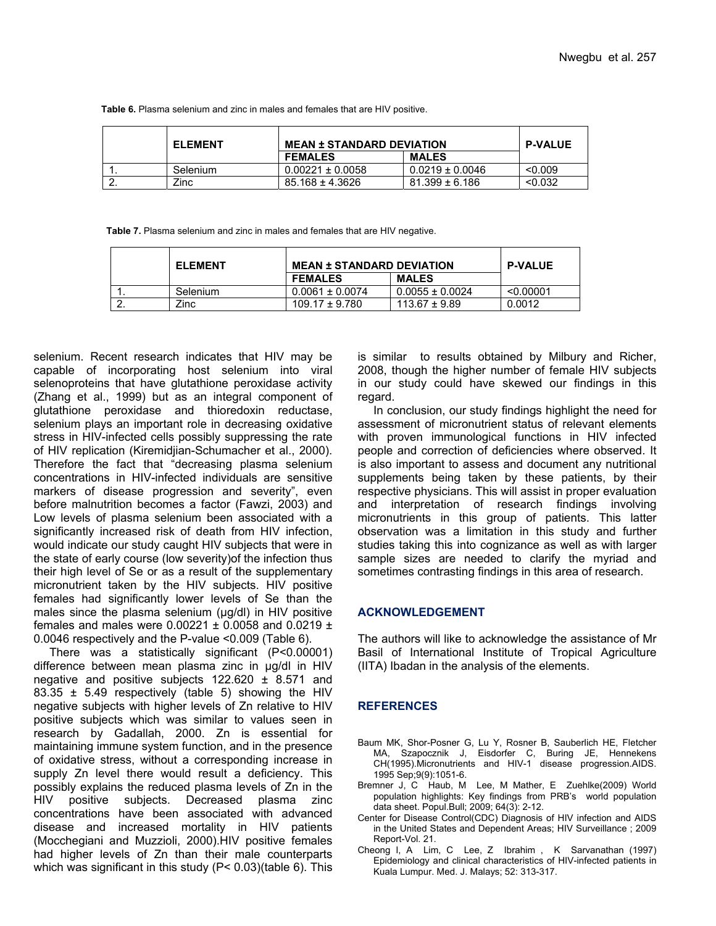**Table 6.** Plasma selenium and zinc in males and females that are HIV positive.

| <b>ELEMENT</b> | <b>MEAN ± STANDARD DEVIATION</b> |                     | <b>P-VALUE</b> |
|----------------|----------------------------------|---------------------|----------------|
|                | <b>FEMALES</b>                   | <b>MALES</b>        |                |
| Selenium       | $0.00221 \pm 0.0058$             | $0.0219 \pm 0.0046$ | < 0.009        |
| Zinc           | $85.168 \pm 4.3626$              | $81.399 \pm 6.186$  | < 0.032        |

 **Table 7.** Plasma selenium and zinc in males and females that are HIV negative.

| <b>ELEMENT</b> | <b>MEAN ± STANDARD DEVIATION</b> |                     | <b>P-VALUE</b> |
|----------------|----------------------------------|---------------------|----------------|
|                | <b>FEMALES</b>                   | <b>MALES</b>        |                |
| Selenium       | $0.0061 \pm 0.0074$              | $0.0055 \pm 0.0024$ | < 0.00001      |
| Zinc           | $109.17 \pm 9.780$               | $113.67 \pm 9.89$   | 0.0012         |

selenium. Recent research indicates that HIV may be capable of incorporating host selenium into viral selenoproteins that have glutathione peroxidase activity (Zhang et al., 1999) but as an integral component of glutathione peroxidase and thioredoxin reductase, selenium plays an important role in decreasing oxidative stress in HIV-infected cells possibly suppressing the rate of HIV replication (Kiremidjian-Schumacher et al., 2000). Therefore the fact that "decreasing plasma selenium concentrations in HIV-infected individuals are sensitive markers of disease progression and severity", even before malnutrition becomes a factor (Fawzi, 2003) and Low levels of plasma selenium been associated with a significantly increased risk of death from HIV infection, would indicate our study caught HIV subjects that were in the state of early course (low severity)of the infection thus their high level of Se or as a result of the supplementary micronutrient taken by the HIV subjects. HIV positive females had significantly lower levels of Se than the males since the plasma selenium (µg/dl) in HIV positive females and males were  $0.00221 \pm 0.0058$  and  $0.0219 \pm 0.0058$ 0.0046 respectively and the P-value <0.009 (Table 6).

There was a statistically significant (P<0.00001) difference between mean plasma zinc in µg/dl in HIV negative and positive subjects  $122.620 \pm 8.571$  and 83.35  $\pm$  5.49 respectively (table 5) showing the HIV negative subjects with higher levels of Zn relative to HIV positive subjects which was similar to values seen in research by Gadallah, 2000. Zn is essential for maintaining immune system function, and in the presence of oxidative stress, without a corresponding increase in supply Zn level there would result a deficiency. This possibly explains the reduced plasma levels of Zn in the HIV positive subjects. Decreased plasma zinc concentrations have been associated with advanced disease and increased mortality in HIV patients (Mocchegiani and Muzzioli, 2000).HIV positive females had higher levels of Zn than their male counterparts which was significant in this study (P< 0.03)(table 6). This

is similar to results obtained by Milbury and Richer, 2008, though the higher number of female HIV subjects in our study could have skewed our findings in this regard.

In conclusion, our study findings highlight the need for assessment of micronutrient status of relevant elements with proven immunological functions in HIV infected people and correction of deficiencies where observed. It is also important to assess and document any nutritional supplements being taken by these patients, by their respective physicians. This will assist in proper evaluation and interpretation of research findings involving micronutrients in this group of patients. This latter observation was a limitation in this study and further studies taking this into cognizance as well as with larger sample sizes are needed to clarify the myriad and sometimes contrasting findings in this area of research.

#### **ACKNOWLEDGEMENT**

The authors will like to acknowledge the assistance of Mr Basil of International Institute of Tropical Agriculture (IITA) Ibadan in the analysis of the elements.

## **REFERENCES**

- Baum MK, Shor-Posner G, Lu Y, Rosner B, Sauberlich HE, Fletcher MA, Szapocznik J, Eisdorfer C, Buring JE, Hennekens CH(1995).Micronutrients and HIV-1 disease progression.AIDS. 1995 Sep;9(9):1051-6.
- Bremner J, C Haub, M Lee, M Mather, E Zuehlke(2009) World population highlights: Key findings from PRB's world population data sheet. Popul.Bull; 2009; 64(3): 2-12.
- Center for Disease Control(CDC) Diagnosis of HIV infection and AIDS in the United States and Dependent Areas; HIV Surveillance ; 2009 Report-Vol. 21.
- Cheong I, A Lim, C Lee, Z Ibrahim , K Sarvanathan (1997) Epidemiology and clinical characteristics of HIV-infected patients in Kuala Lumpur. Med. J. Malays; 52: 313-317.